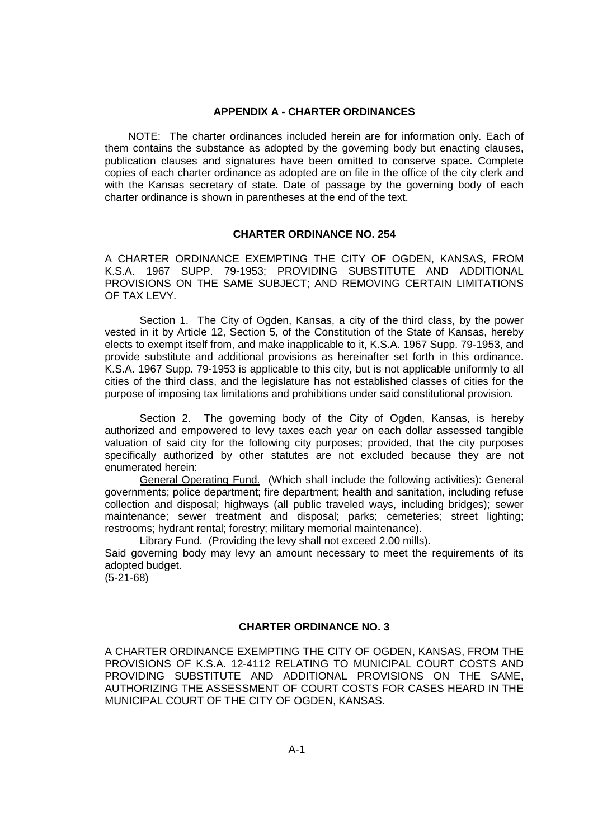### **APPENDIX A - CHARTER ORDINANCES**

NOTE: The charter ordinances included herein are for information only. Each of them contains the substance as adopted by the governing body but enacting clauses, publication clauses and signatures have been omitted to conserve space. Complete copies of each charter ordinance as adopted are on file in the office of the city clerk and with the Kansas secretary of state. Date of passage by the governing body of each charter ordinance is shown in parentheses at the end of the text.

# **CHARTER ORDINANCE NO. 254**

A CHARTER ORDINANCE EXEMPTING THE CITY OF OGDEN, KANSAS, FROM K.S.A. 1967 SUPP. 79-1953; PROVIDING SUBSTITUTE AND ADDITIONAL PROVISIONS ON THE SAME SUBJECT; AND REMOVING CERTAIN LIMITATIONS OF TAX LEVY.

Section 1. The City of Ogden, Kansas, a city of the third class, by the power vested in it by Article 12, Section 5, of the Constitution of the State of Kansas, hereby elects to exempt itself from, and make inapplicable to it, K.S.A. 1967 Supp. 79-1953, and provide substitute and additional provisions as hereinafter set forth in this ordinance. K.S.A. 1967 Supp. 79-1953 is applicable to this city, but is not applicable uniformly to all cities of the third class, and the legislature has not established classes of cities for the purpose of imposing tax limitations and prohibitions under said constitutional provision.

Section 2. The governing body of the City of Ogden, Kansas, is hereby authorized and empowered to levy taxes each year on each dollar assessed tangible valuation of said city for the following city purposes; provided, that the city purposes specifically authorized by other statutes are not excluded because they are not enumerated herein:

General Operating Fund. (Which shall include the following activities): General governments; police department; fire department; health and sanitation, including refuse collection and disposal; highways (all public traveled ways, including bridges); sewer maintenance; sewer treatment and disposal; parks; cemeteries; street lighting; restrooms; hydrant rental; forestry; military memorial maintenance).

Library Fund. (Providing the levy shall not exceed 2.00 mills).

Said governing body may levy an amount necessary to meet the requirements of its adopted budget.

(5-21-68)

### **CHARTER ORDINANCE NO. 3**

A CHARTER ORDINANCE EXEMPTING THE CITY OF OGDEN, KANSAS, FROM THE PROVISIONS OF K.S.A. 12-4112 RELATING TO MUNICIPAL COURT COSTS AND PROVIDING SUBSTITUTE AND ADDITIONAL PROVISIONS ON THE SAME, AUTHORIZING THE ASSESSMENT OF COURT COSTS FOR CASES HEARD IN THE MUNICIPAL COURT OF THE CITY OF OGDEN, KANSAS.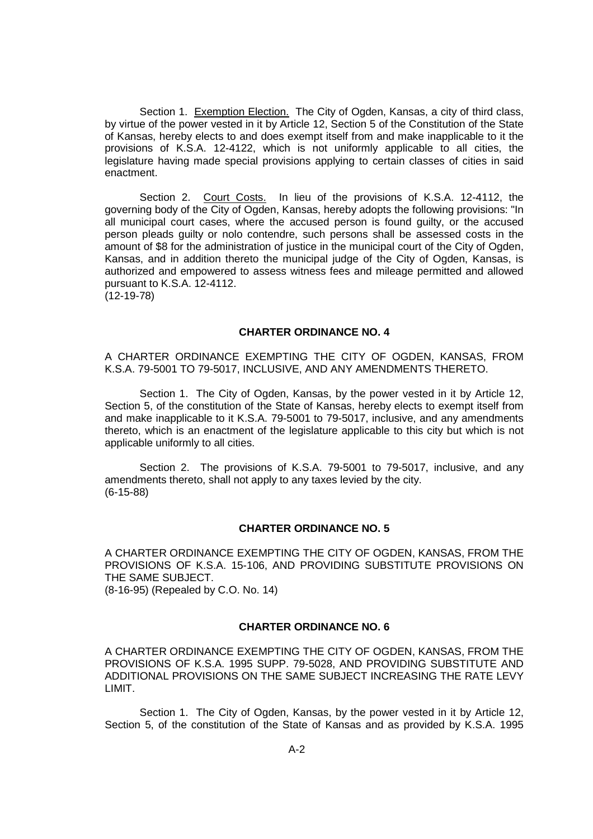Section 1. Exemption Election. The City of Ogden, Kansas, a city of third class, by virtue of the power vested in it by Article 12, Section 5 of the Constitution of the State of Kansas, hereby elects to and does exempt itself from and make inapplicable to it the provisions of K.S.A. 12-4122, which is not uniformly applicable to all cities, the legislature having made special provisions applying to certain classes of cities in said enactment.

Section 2. Court Costs. In lieu of the provisions of K.S.A. 12-4112, the governing body of the City of Ogden, Kansas, hereby adopts the following provisions: "In all municipal court cases, where the accused person is found guilty, or the accused person pleads guilty or nolo contendre, such persons shall be assessed costs in the amount of \$8 for the administration of justice in the municipal court of the City of Ogden, Kansas, and in addition thereto the municipal judge of the City of Ogden, Kansas, is authorized and empowered to assess witness fees and mileage permitted and allowed pursuant to K.S.A. 12-4112. (12-19-78)

### **CHARTER ORDINANCE NO. 4**

A CHARTER ORDINANCE EXEMPTING THE CITY OF OGDEN, KANSAS, FROM K.S.A. 79-5001 TO 79-5017, INCLUSIVE, AND ANY AMENDMENTS THERETO.

Section 1. The City of Ogden, Kansas, by the power vested in it by Article 12, Section 5, of the constitution of the State of Kansas, hereby elects to exempt itself from and make inapplicable to it K.S.A. 79-5001 to 79-5017, inclusive, and any amendments thereto, which is an enactment of the legislature applicable to this city but which is not applicable uniformly to all cities.

Section 2. The provisions of K.S.A. 79-5001 to 79-5017, inclusive, and any amendments thereto, shall not apply to any taxes levied by the city. (6-15-88)

#### **CHARTER ORDINANCE NO. 5**

A CHARTER ORDINANCE EXEMPTING THE CITY OF OGDEN, KANSAS, FROM THE PROVISIONS OF K.S.A. 15-106, AND PROVIDING SUBSTITUTE PROVISIONS ON THE SAME SUBJECT. (8-16-95) (Repealed by C.O. No. 14)

#### **CHARTER ORDINANCE NO. 6**

A CHARTER ORDINANCE EXEMPTING THE CITY OF OGDEN, KANSAS, FROM THE PROVISIONS OF K.S.A. 1995 SUPP. 79-5028, AND PROVIDING SUBSTITUTE AND ADDITIONAL PROVISIONS ON THE SAME SUBJECT INCREASING THE RATE LEVY LIMIT.

Section 1. The City of Ogden, Kansas, by the power vested in it by Article 12, Section 5, of the constitution of the State of Kansas and as provided by K.S.A. 1995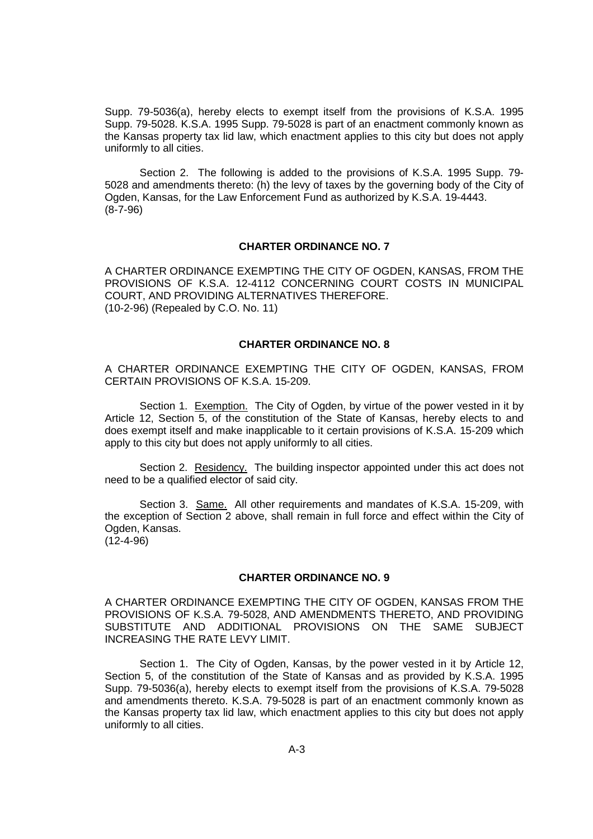Supp. 79-5036(a), hereby elects to exempt itself from the provisions of K.S.A. 1995 Supp. 79-5028. K.S.A. 1995 Supp. 79-5028 is part of an enactment commonly known as the Kansas property tax lid law, which enactment applies to this city but does not apply uniformly to all cities.

Section 2. The following is added to the provisions of K.S.A. 1995 Supp. 79- 5028 and amendments thereto: (h) the levy of taxes by the governing body of the City of Ogden, Kansas, for the Law Enforcement Fund as authorized by K.S.A. 19-4443. (8-7-96)

#### **CHARTER ORDINANCE NO. 7**

A CHARTER ORDINANCE EXEMPTING THE CITY OF OGDEN, KANSAS, FROM THE PROVISIONS OF K.S.A. 12-4112 CONCERNING COURT COSTS IN MUNICIPAL COURT, AND PROVIDING ALTERNATIVES THEREFORE. (10-2-96) (Repealed by C.O. No. 11)

### **CHARTER ORDINANCE NO. 8**

A CHARTER ORDINANCE EXEMPTING THE CITY OF OGDEN, KANSAS, FROM CERTAIN PROVISIONS OF K.S.A. 15-209.

Section 1. Exemption. The City of Ogden, by virtue of the power vested in it by Article 12, Section 5, of the constitution of the State of Kansas, hereby elects to and does exempt itself and make inapplicable to it certain provisions of K.S.A. 15-209 which apply to this city but does not apply uniformly to all cities.

Section 2. Residency. The building inspector appointed under this act does not need to be a qualified elector of said city.

Section 3. Same. All other requirements and mandates of K.S.A. 15-209, with the exception of Section 2 above, shall remain in full force and effect within the City of Ogden, Kansas.  $(12-4-96)$ 

### **CHARTER ORDINANCE NO. 9**

A CHARTER ORDINANCE EXEMPTING THE CITY OF OGDEN, KANSAS FROM THE PROVISIONS OF K.S.A. 79-5028, AND AMENDMENTS THERETO, AND PROVIDING SUBSTITUTE AND ADDITIONAL PROVISIONS ON THE SAME SUBJECT INCREASING THE RATE LEVY LIMIT.

Section 1. The City of Ogden, Kansas, by the power vested in it by Article 12, Section 5, of the constitution of the State of Kansas and as provided by K.S.A. 1995 Supp. 79-5036(a), hereby elects to exempt itself from the provisions of K.S.A. 79-5028 and amendments thereto. K.S.A. 79-5028 is part of an enactment commonly known as the Kansas property tax lid law, which enactment applies to this city but does not apply uniformly to all cities.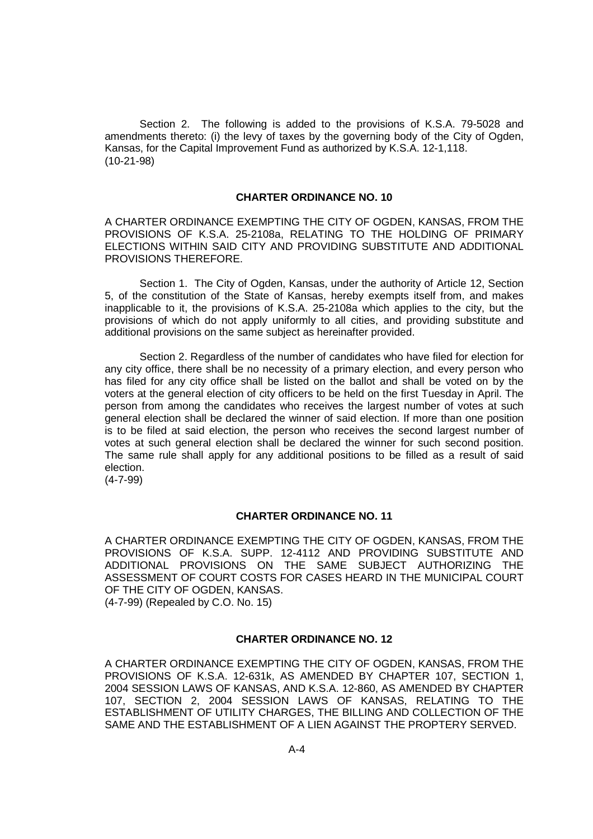Section 2. The following is added to the provisions of K.S.A. 79-5028 and amendments thereto: (i) the levy of taxes by the governing body of the City of Ogden, Kansas, for the Capital Improvement Fund as authorized by K.S.A. 12-1,118. (10-21-98)

### **CHARTER ORDINANCE NO. 10**

A CHARTER ORDINANCE EXEMPTING THE CITY OF OGDEN, KANSAS, FROM THE PROVISIONS OF K.S.A. 25-2108a, RELATING TO THE HOLDING OF PRIMARY ELECTIONS WITHIN SAID CITY AND PROVIDING SUBSTITUTE AND ADDITIONAL PROVISIONS THEREFORE.

Section 1. The City of Ogden, Kansas, under the authority of Article 12, Section 5, of the constitution of the State of Kansas, hereby exempts itself from, and makes inapplicable to it, the provisions of K.S.A. 25-2108a which applies to the city, but the provisions of which do not apply uniformly to all cities, and providing substitute and additional provisions on the same subject as hereinafter provided.

Section 2. Regardless of the number of candidates who have filed for election for any city office, there shall be no necessity of a primary election, and every person who has filed for any city office shall be listed on the ballot and shall be voted on by the voters at the general election of city officers to be held on the first Tuesday in April. The person from among the candidates who receives the largest number of votes at such general election shall be declared the winner of said election. If more than one position is to be filed at said election, the person who receives the second largest number of votes at such general election shall be declared the winner for such second position. The same rule shall apply for any additional positions to be filled as a result of said election.

(4-7-99)

### **CHARTER ORDINANCE NO. 11**

A CHARTER ORDINANCE EXEMPTING THE CITY OF OGDEN, KANSAS, FROM THE PROVISIONS OF K.S.A. SUPP. 12-4112 AND PROVIDING SUBSTITUTE AND ADDITIONAL PROVISIONS ON THE SAME SUBJECT AUTHORIZING THE ASSESSMENT OF COURT COSTS FOR CASES HEARD IN THE MUNICIPAL COURT OF THE CITY OF OGDEN, KANSAS. (4-7-99) (Repealed by C.O. No. 15)

### **CHARTER ORDINANCE NO. 12**

A CHARTER ORDINANCE EXEMPTING THE CITY OF OGDEN, KANSAS, FROM THE PROVISIONS OF K.S.A. 12-631k, AS AMENDED BY CHAPTER 107, SECTION 1, 2004 SESSION LAWS OF KANSAS, AND K.S.A. 12-860, AS AMENDED BY CHAPTER 107, SECTION 2, 2004 SESSION LAWS OF KANSAS, RELATING TO THE ESTABLISHMENT OF UTILITY CHARGES, THE BILLING AND COLLECTION OF THE SAME AND THE ESTABLISHMENT OF A LIEN AGAINST THE PROPTERY SERVED.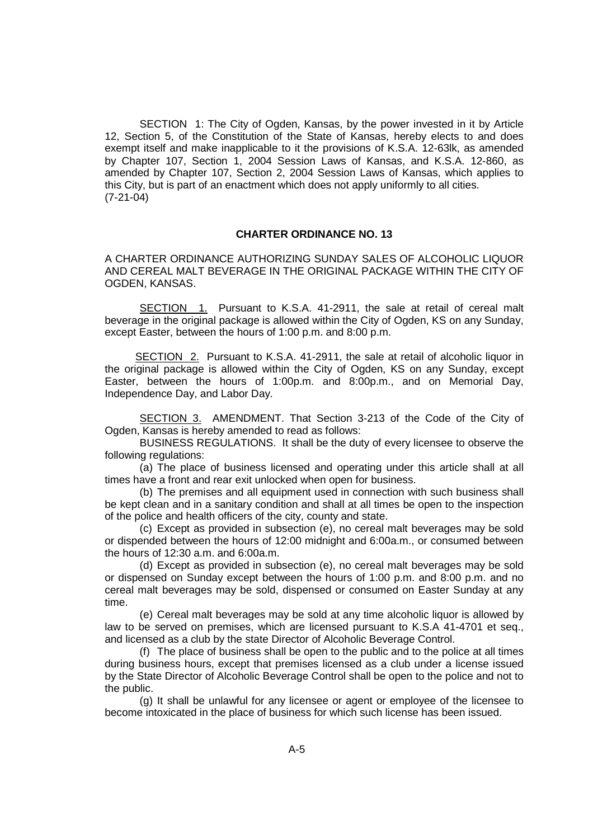SECTION 1: The City of Ogden, Kansas, by the power invested in it by Article 12, Section 5, of the Constitution of the State of Kansas, hereby elects to and does exempt itself and make inapplicable to it the provisions of K.S.A. 12-63lk, as amended by Chapter 107, Section 1, 2004 Session Laws of Kansas, and K.S.A. 12-860, as amended by Chapter 107, Section 2, 2004 Session Laws of Kansas, which applies to this City, but is part of an enactment which does not apply uniformly to all cities. (7-21-04)

### **CHARTER ORDINANCE NO. 13**

A CHARTER ORDINANCE AUTHORIZING SUNDAY SALES OF ALCOHOLIC LIQUOR AND CEREAL MALT BEVERAGE IN THE ORIGINAL PACKAGE WITHIN THE CITY OF OGDEN, KANSAS.

SECTION 1. Pursuant to K.S.A. 41-2911, the sale at retail of cereal malt beverage in the original package is allowed within the City of Ogden, KS on any Sunday, except Easter, between the hours of 1:00 p.m. and 8:00 p.m.

SECTION 2. Pursuant to K.S.A. 41-2911, the sale at retail of alcoholic liquor in the original package is allowed within the City of Ogden, KS on any Sunday, except Easter, between the hours of 1:00p.m. and 8:00p.m., and on Memorial Day, Independence Day, and Labor Day.

SECTION 3. AMENDMENT. That Section 3-213 of the Code of the City of Ogden, Kansas is hereby amended to read as follows:

BUSINESS REGULATIONS. It shall be the duty of every licensee to observe the following regulations:

(a) The place of business licensed and operating under this article shall at all times have a front and rear exit unlocked when open for business.

(b) The premises and all equipment used in connection with such business shall be kept clean and in a sanitary condition and shall at all times be open to the inspection of the police and health officers of the city, county and state.

(c) Except as provided in subsection (e), no cereal malt beverages may be sold or dispended between the hours of 12:00 midnight and 6:00a.m., or consumed between the hours of 12:30 a.m. and 6:00a.m.

(d) Except as provided in subsection (e), no cereal malt beverages may be sold or dispensed on Sunday except between the hours of 1:00 p.m. and 8:00 p.m. and no cereal malt beverages may be sold, dispensed or consumed on Easter Sunday at any time.

(e) Cereal malt beverages may be sold at any time alcoholic liquor is allowed by law to be served on premises, which are licensed pursuant to K.S.A 41-4701 et seq., and licensed as a club by the state Director of Alcoholic Beverage Control.

(f) The place of business shall be open to the public and to the police at all times during business hours, except that premises licensed as a club under a license issued by the State Director of Alcoholic Beverage Control shall be open to the police and not to the public.

(g) It shall be unlawful for any licensee or agent or employee of the licensee to become intoxicated in the place of business for which such license has been issued.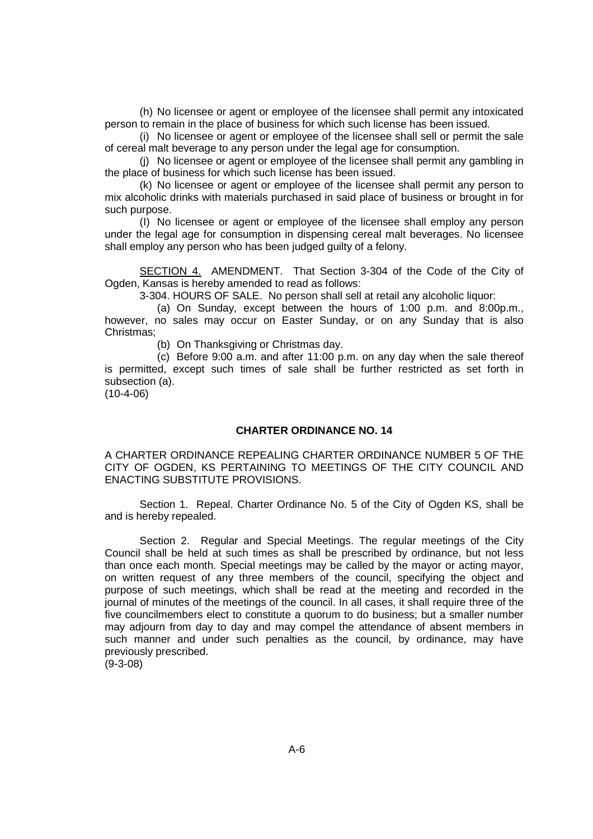(h) No licensee or agent or employee of the licensee shall permit any intoxicated person to remain in the place of business for which such license has been issued.

(i) No licensee or agent or employee of the licensee shall sell or permit the sale of cereal malt beverage to any person under the legal age for consumption.

(j) No licensee or agent or employee of the licensee shall permit any gambling in the place of business for which such license has been issued.

(k) No licensee or agent or employee of the licensee shall permit any person to mix alcoholic drinks with materials purchased in said place of business or brought in for such purpose.

(I) No licensee or agent or employee of the licensee shall employ any person under the legal age for consumption in dispensing cereal malt beverages. No licensee shall employ any person who has been judged guilty of a felony.

SECTION 4. AMENDMENT. That Section 3-304 of the Code of the City of Ogden, Kansas is hereby amended to read as follows:

3-304. HOURS OF SALE. No person shall sell at retail any alcoholic liquor:

(a) On Sunday, except between the hours of 1:00 p.m. and 8:00p.m., however, no sales may occur on Easter Sunday, or on any Sunday that is also Christmas;

(b) On Thanksgiving or Christmas day.

(c) Before 9:00 a.m. and after 11:00 p.m. on any day when the sale thereof is permitted, except such times of sale shall be further restricted as set forth in subsection (a).

 $(10-4-06)$ 

# **CHARTER ORDINANCE NO. 14**

A CHARTER ORDINANCE REPEALING CHARTER ORDINANCE NUMBER 5 OF THE CITY OF OGDEN, KS PERTAINING TO MEETINGS OF THE CITY COUNCIL AND ENACTING SUBSTITUTE PROVISIONS.

Section 1. Repeal. Charter Ordinance No. 5 of the City of Ogden KS, shall be and is hereby repealed.

Section 2. Regular and Special Meetings. The regular meetings of the City Council shall be held at such times as shall be prescribed by ordinance, but not less than once each month. Special meetings may be called by the mayor or acting mayor, on written request of any three members of the council, specifying the object and purpose of such meetings, which shall be read at the meeting and recorded in the journal of minutes of the meetings of the council. In all cases, it shall require three of the five councilmembers elect to constitute a quorum to do business; but a smaller number may adjourn from day to day and may compel the attendance of absent members in such manner and under such penalties as the council, by ordinance, may have previously prescribed.

(9-3-08)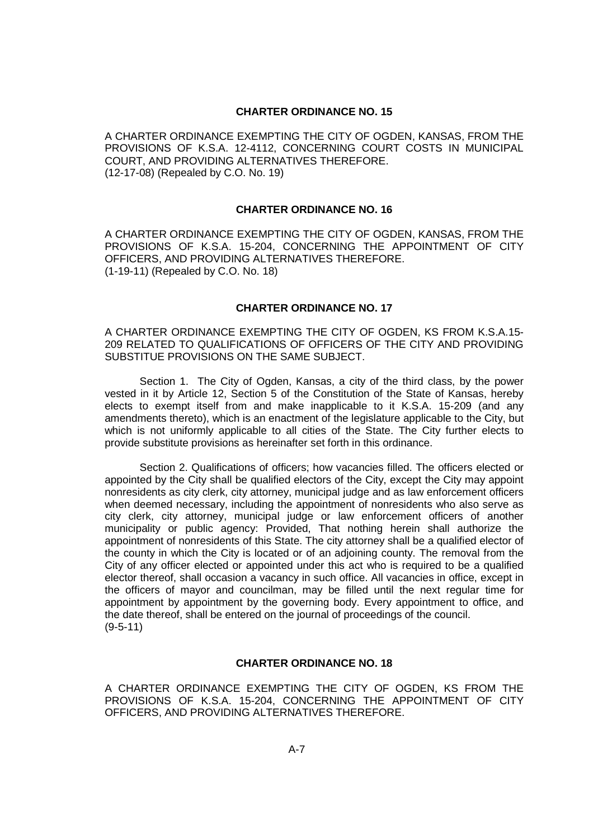### **CHARTER ORDINANCE NO. 15**

A CHARTER ORDINANCE EXEMPTING THE CITY OF OGDEN, KANSAS, FROM THE PROVISIONS OF K.S.A. 12-4112, CONCERNING COURT COSTS IN MUNICIPAL COURT, AND PROVIDING ALTERNATIVES THEREFORE. (12-17-08) (Repealed by C.O. No. 19)

### **CHARTER ORDINANCE NO. 16**

A CHARTER ORDINANCE EXEMPTING THE CITY OF OGDEN, KANSAS, FROM THE PROVISIONS OF K.S.A. 15-204, CONCERNING THE APPOINTMENT OF CITY OFFICERS, AND PROVIDING ALTERNATIVES THEREFORE. (1-19-11) (Repealed by C.O. No. 18)

### **CHARTER ORDINANCE NO. 17**

A CHARTER ORDINANCE EXEMPTING THE CITY OF OGDEN, KS FROM K.S.A.15- 209 RELATED TO QUALIFICATIONS OF OFFICERS OF THE CITY AND PROVIDING SUBSTITUE PROVISIONS ON THE SAME SUBJECT.

Section 1. The City of Ogden, Kansas, a city of the third class, by the power vested in it by Article 12, Section 5 of the Constitution of the State of Kansas, hereby elects to exempt itself from and make inapplicable to it K.S.A. 15-209 (and any amendments thereto), which is an enactment of the legislature applicable to the City, but which is not uniformly applicable to all cities of the State. The City further elects to provide substitute provisions as hereinafter set forth in this ordinance.

Section 2. Qualifications of officers; how vacancies filled. The officers elected or appointed by the City shall be qualified electors of the City, except the City may appoint nonresidents as city clerk, city attorney, municipal judge and as law enforcement officers when deemed necessary, including the appointment of nonresidents who also serve as city clerk, city attorney, municipal judge or law enforcement officers of another municipality or public agency: Provided, That nothing herein shall authorize the appointment of nonresidents of this State. The city attorney shall be a qualified elector of the county in which the City is located or of an adjoining county. The removal from the City of any officer elected or appointed under this act who is required to be a qualified elector thereof, shall occasion a vacancy in such office. All vacancies in office, except in the officers of mayor and councilman, may be filled until the next regular time for appointment by appointment by the governing body. Every appointment to office, and the date thereof, shall be entered on the journal of proceedings of the council. (9-5-11)

## **CHARTER ORDINANCE NO. 18**

A CHARTER ORDINANCE EXEMPTING THE CITY OF OGDEN, KS FROM THE PROVISIONS OF K.S.A. 15-204, CONCERNING THE APPOINTMENT OF CITY OFFICERS, AND PROVIDING ALTERNATIVES THEREFORE.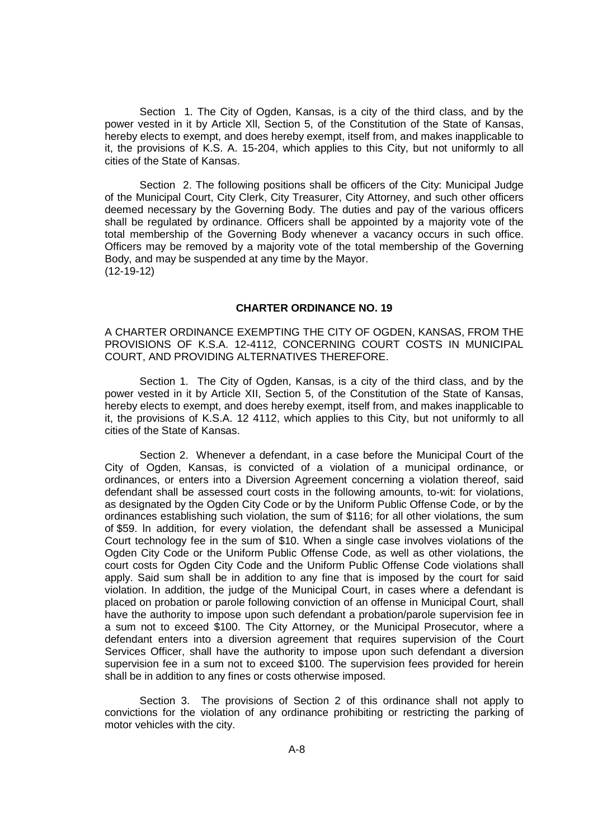Section 1. The City of Ogden, Kansas, is a city of the third class, and by the power vested in it by Article Xll, Section 5, of the Constitution of the State of Kansas, hereby elects to exempt, and does hereby exempt, itself from, and makes inapplicable to it, the provisions of K.S. A. 15-204, which applies to this City, but not uniformly to all cities of the State of Kansas.

Section 2. The following positions shall be officers of the City: Municipal Judge of the Municipal Court, City Clerk, City Treasurer, City Attorney, and such other officers deemed necessary by the Governing Body. The duties and pay of the various officers shall be regulated by ordinance. Officers shall be appointed by a majority vote of the total membership of the Governing Body whenever a vacancy occurs in such office. Officers may be removed by a majority vote of the total membership of the Governing Body, and may be suspended at any time by the Mayor. (12-19-12)

#### **CHARTER ORDINANCE NO. 19**

A CHARTER ORDINANCE EXEMPTING THE CITY OF OGDEN, KANSAS, FROM THE PROVISIONS OF K.S.A. 12-4112, CONCERNING COURT COSTS IN MUNICIPAL COURT, AND PROVIDING ALTERNATIVES THEREFORE.

Section 1. The City of Ogden, Kansas, is a city of the third class, and by the power vested in it by Article XII, Section 5, of the Constitution of the State of Kansas, hereby elects to exempt, and does hereby exempt, itself from, and makes inapplicable to it, the provisions of K.S.A. 12 4112, which applies to this City, but not uniformly to all cities of the State of Kansas.

Section 2. Whenever a defendant, in a case before the Municipal Court of the City of Ogden, Kansas, is convicted of a violation of a municipal ordinance, or ordinances, or enters into a Diversion Agreement concerning a violation thereof, said defendant shall be assessed court costs in the following amounts, to-wit: for violations, as designated by the Ogden City Code or by the Uniform Public Offense Code, or by the ordinances establishing such violation, the sum of \$116; for all other violations, the sum of \$59. ln addition, for every violation, the defendant shall be assessed a Municipal Court technology fee in the sum of \$10. When a single case involves violations of the Ogden City Code or the Uniform Public Offense Code, as well as other violations, the court costs for Ogden City Code and the Uniform Public Offense Code violations shall apply. Said sum shall be in addition to any fine that is imposed by the court for said violation. In addition, the judge of the Municipal Court, in cases where a defendant is placed on probation or parole following conviction of an offense in Municipal Court, shall have the authority to impose upon such defendant a probation/parole supervision fee in a sum not to exceed \$100. The City Attorney, or the Municipal Prosecutor, where a defendant enters into a diversion agreement that requires supervision of the Court Services Officer, shall have the authority to impose upon such defendant a diversion supervision fee in a sum not to exceed \$100. The supervision fees provided for herein shall be in addition to any fines or costs otherwise imposed.

Section 3. The provisions of Section 2 of this ordinance shall not apply to convictions for the violation of any ordinance prohibiting or restricting the parking of motor vehicles with the city.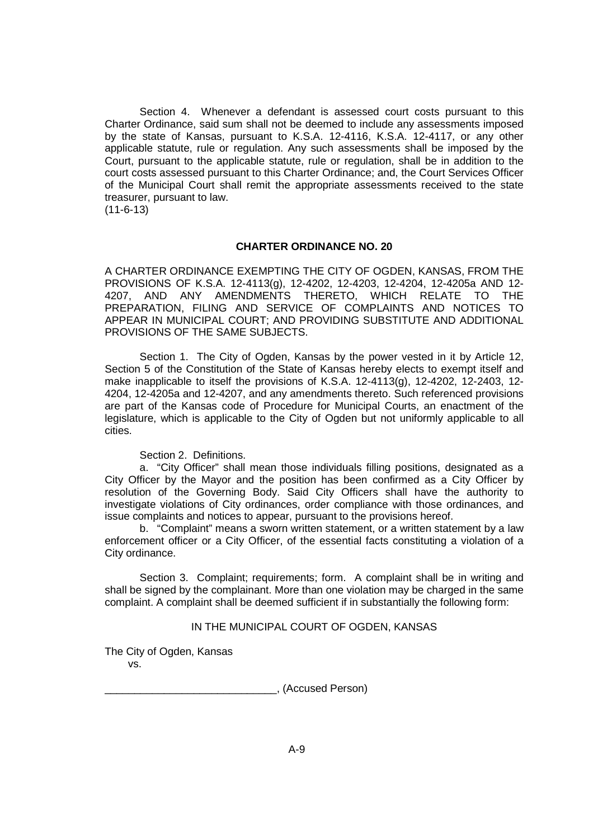Section 4. Whenever a defendant is assessed court costs pursuant to this Charter Ordinance, said sum shall not be deemed to include any assessments imposed by the state of Kansas, pursuant to K.S.A. 12-4116, K.S.A. 12-4117, or any other applicable statute, rule or regulation. Any such assessments shall be imposed by the Court, pursuant to the applicable statute, rule or regulation, shall be in addition to the court costs assessed pursuant to this Charter Ordinance; and, the Court Services Officer of the Municipal Court shall remit the appropriate assessments received to the state treasurer, pursuant to law.

(11-6-13)

#### **CHARTER ORDINANCE NO. 20**

A CHARTER ORDINANCE EXEMPTING THE CITY OF OGDEN, KANSAS, FROM THE PROVISIONS OF K.S.A. 12-4113(g), 12-4202, 12-4203, 12-4204, 12-4205a AND 12- 4207, AND ANY AMENDMENTS THERETO, WHICH RELATE TO THE PREPARATION, FILING AND SERVICE OF COMPLAINTS AND NOTICES TO APPEAR IN MUNICIPAL COURT; AND PROVIDING SUBSTITUTE AND ADDITIONAL PROVISIONS OF THE SAME SUBJECTS.

Section 1. The City of Ogden, Kansas by the power vested in it by Article 12, Section 5 of the Constitution of the State of Kansas hereby elects to exempt itself and make inapplicable to itself the provisions of K.S.A.  $12-4113(q)$ ,  $12-4202$ ,  $12-2403$ ,  $12-2403$ 4204, 12-4205a and 12-4207, and any amendments thereto. Such referenced provisions are part of the Kansas code of Procedure for Municipal Courts, an enactment of the legislature, which is applicable to the City of Ogden but not uniformly applicable to all cities.

Section 2. Definitions.

a. "City Officer" shall mean those individuals filling positions, designated as a City Officer by the Mayor and the position has been confirmed as a City Officer by resolution of the Governing Body. Said City Officers shall have the authority to investigate violations of City ordinances, order compliance with those ordinances, and issue complaints and notices to appear, pursuant to the provisions hereof.

b. "Complaint" means a sworn written statement, or a written statement by a law enforcement officer or a City Officer, of the essential facts constituting a violation of a City ordinance.

Section 3. Complaint; requirements; form. A complaint shall be in writing and shall be signed by the complainant. More than one violation may be charged in the same complaint. A complaint shall be deemed sufficient if in substantially the following form:

### IN THE MUNICIPAL COURT OF OGDEN, KANSAS

The City of Ogden, Kansas vs.

\_\_\_\_\_\_\_\_\_\_\_\_\_\_\_\_\_\_\_\_\_\_\_\_\_\_\_\_\_, (Accused Person)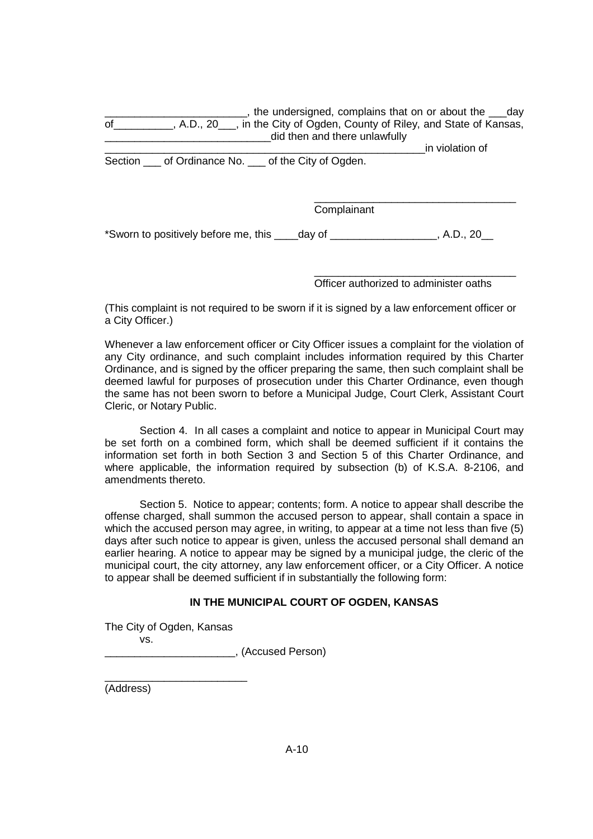$\Box$ , the undersigned, complains that on or about the day of Riley, and State of Kansas, A.D., 20<sub>\_\_\_</sub>, in the City of Ogden, County of Riley, and State of Kansas, did then and there unlawfully

Section \_\_\_ of Ordinance No. \_\_ of the City of Ogden.

\_\_\_\_\_\_\_\_\_\_\_\_\_\_\_\_\_\_\_\_\_\_\_\_\_\_\_\_\_\_\_\_\_\_\_\_\_\_\_\_\_\_\_\_\_\_\_\_\_\_\_\_\_\_in violation of

\_\_\_\_\_\_\_\_\_\_\_\_\_\_\_\_\_\_\_\_\_\_\_\_\_\_\_\_\_\_\_\_\_\_ Complainant

\*Sworn to positively before me, this \_\_\_\_day of \_\_\_\_\_\_\_\_\_\_\_\_\_\_\_\_\_\_, A.D., 20\_\_

\_\_\_\_\_\_\_\_\_\_\_\_\_\_\_\_\_\_\_\_\_\_\_\_\_\_\_\_\_\_\_\_\_\_ Officer authorized to administer oaths

(This complaint is not required to be sworn if it is signed by a law enforcement officer or a City Officer.)

Whenever a law enforcement officer or City Officer issues a complaint for the violation of any City ordinance, and such complaint includes information required by this Charter Ordinance, and is signed by the officer preparing the same, then such complaint shall be deemed lawful for purposes of prosecution under this Charter Ordinance, even though the same has not been sworn to before a Municipal Judge, Court Clerk, Assistant Court Cleric, or Notary Public.

Section 4. In all cases a complaint and notice to appear in Municipal Court may be set forth on a combined form, which shall be deemed sufficient if it contains the information set forth in both Section 3 and Section 5 of this Charter Ordinance, and where applicable, the information required by subsection (b) of K.S.A. 8-2106, and amendments thereto.

Section 5. Notice to appear; contents; form. A notice to appear shall describe the offense charged, shall summon the accused person to appear, shall contain a space in which the accused person may agree, in writing, to appear at a time not less than five (5) days after such notice to appear is given, unless the accused personal shall demand an earlier hearing. A notice to appear may be signed by a municipal judge, the cleric of the municipal court, the city attorney, any law enforcement officer, or a City Officer. A notice to appear shall be deemed sufficient if in substantially the following form:

# **IN THE MUNICIPAL COURT OF OGDEN, KANSAS**

The City of Ogden, Kansas vs.

\_\_\_\_\_\_\_\_\_\_\_\_\_\_\_\_\_\_\_\_\_\_, (Accused Person)

\_\_\_\_\_\_\_\_\_\_\_\_\_\_\_\_\_\_\_\_\_\_\_\_ (Address)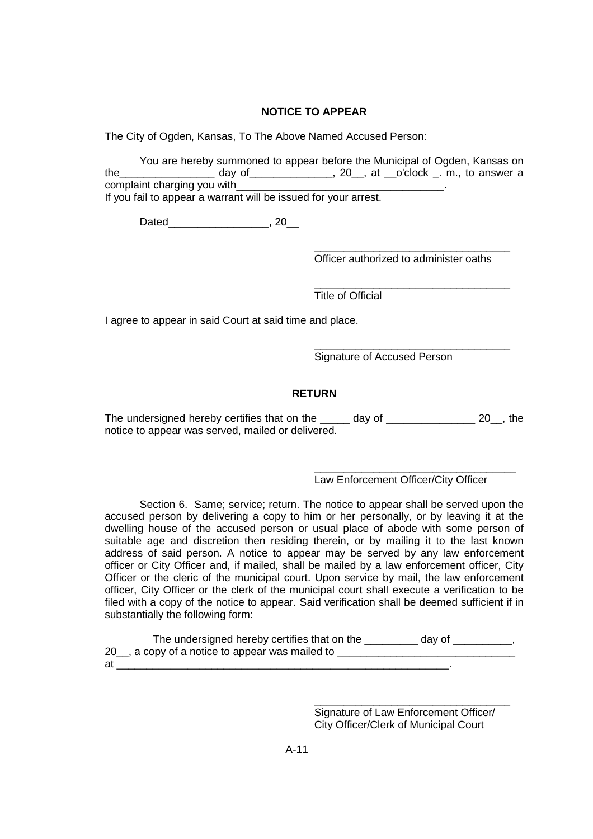# **NOTICE TO APPEAR**

The City of Ogden, Kansas, To The Above Named Accused Person:

You are hereby summoned to appear before the Municipal of Ogden, Kansas on the\_\_\_\_\_\_\_\_\_\_\_\_\_\_\_\_ day of\_\_\_\_\_\_\_\_\_\_\_\_\_\_, 20\_\_, at \_\_o'clock \_. m., to answer a complaint charging you with If you fail to appear a warrant will be issued for your arrest.

Dated\_\_\_\_\_\_\_\_\_\_\_\_\_\_\_\_\_\_\_\_\_\_\_, 20\_\_\_

\_\_\_\_\_\_\_\_\_\_\_\_\_\_\_\_\_\_\_\_\_\_\_\_\_\_\_\_\_\_\_\_\_ Officer authorized to administer oaths

\_\_\_\_\_\_\_\_\_\_\_\_\_\_\_\_\_\_\_\_\_\_\_\_\_\_\_\_\_\_\_\_\_

\_\_\_\_\_\_\_\_\_\_\_\_\_\_\_\_\_\_\_\_\_\_\_\_\_\_\_\_\_\_\_\_\_

Title of Official

I agree to appear in said Court at said time and place.

Signature of Accused Person

## **RETURN**

The undersigned hereby certifies that on the \_\_\_\_\_ day of \_\_\_\_\_\_\_\_\_\_\_\_\_\_\_\_ 20\_, the notice to appear was served, mailed or delivered.

Law Enforcement Officer/City Officer

\_\_\_\_\_\_\_\_\_\_\_\_\_\_\_\_\_\_\_\_\_\_\_\_\_\_\_\_\_\_\_\_\_\_

Section 6. Same; service; return. The notice to appear shall be served upon the accused person by delivering a copy to him or her personally, or by leaving it at the dwelling house of the accused person or usual place of abode with some person of suitable age and discretion then residing therein, or by mailing it to the last known address of said person. A notice to appear may be served by any law enforcement officer or City Officer and, if mailed, shall be mailed by a law enforcement officer, City Officer or the cleric of the municipal court. Upon service by mail, the law enforcement officer, City Officer or the clerk of the municipal court shall execute a verification to be filed with a copy of the notice to appear. Said verification shall be deemed sufficient if in substantially the following form:

The undersigned hereby certifies that on the \_\_\_\_\_\_\_\_\_ day of \_\_\_\_\_\_\_\_, 20\_\_, a copy of a notice to appear was mailed to \_\_\_\_\_\_\_\_\_\_\_\_\_\_\_\_\_\_\_\_\_\_\_\_\_\_\_\_\_\_ at  $\blacksquare$ 

> \_\_\_\_\_\_\_\_\_\_\_\_\_\_\_\_\_\_\_\_\_\_\_\_\_\_\_\_\_\_\_\_\_ Signature of Law Enforcement Officer/ City Officer/Clerk of Municipal Court